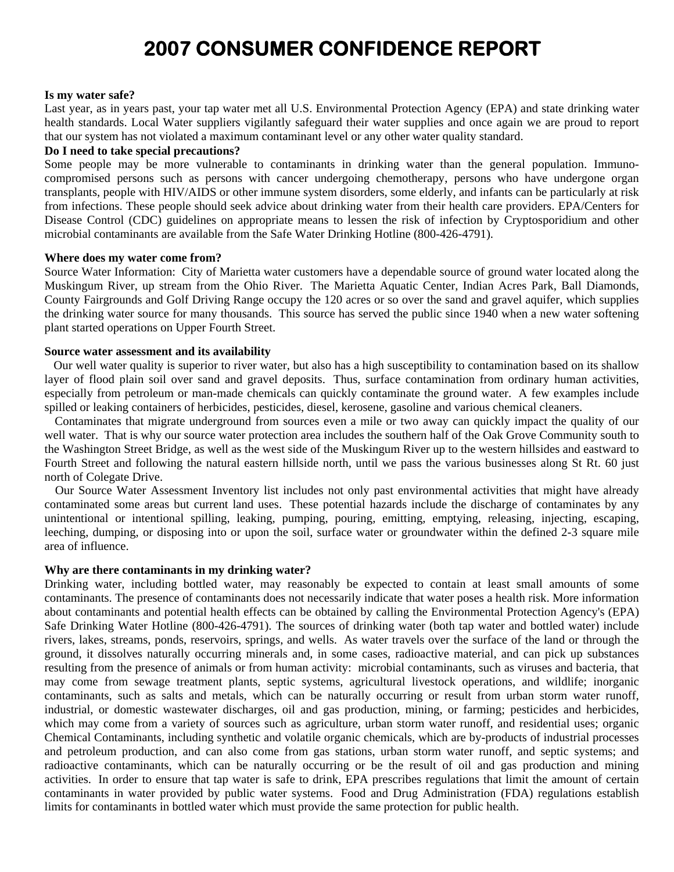# **2007 CONSUMER CONFIDENCE REPORT**

#### **Is my water safe?**

Last year, as in years past, your tap water met all U.S. Environmental Protection Agency (EPA) and state drinking water health standards. Local Water suppliers vigilantly safeguard their water supplies and once again we are proud to report that our system has not violated a maximum contaminant level or any other water quality standard.

#### **Do I need to take special precautions?**

Some people may be more vulnerable to contaminants in drinking water than the general population. Immunocompromised persons such as persons with cancer undergoing chemotherapy, persons who have undergone organ transplants, people with HIV/AIDS or other immune system disorders, some elderly, and infants can be particularly at risk from infections. These people should seek advice about drinking water from their health care providers. EPA/Centers for Disease Control (CDC) guidelines on appropriate means to lessen the risk of infection by Cryptosporidium and other microbial contaminants are available from the Safe Water Drinking Hotline (800-426-4791).

#### **Where does my water come from?**

Source Water Information: City of Marietta water customers have a dependable source of ground water located along the Muskingum River, up stream from the Ohio River. The Marietta Aquatic Center, Indian Acres Park, Ball Diamonds, County Fairgrounds and Golf Driving Range occupy the 120 acres or so over the sand and gravel aquifer, which supplies the drinking water source for many thousands. This source has served the public since 1940 when a new water softening plant started operations on Upper Fourth Street.

#### **Source water assessment and its availability**

 Our well water quality is superior to river water, but also has a high susceptibility to contamination based on its shallow layer of flood plain soil over sand and gravel deposits. Thus, surface contamination from ordinary human activities, especially from petroleum or man-made chemicals can quickly contaminate the ground water. A few examples include spilled or leaking containers of herbicides, pesticides, diesel, kerosene, gasoline and various chemical cleaners.

 Contaminates that migrate underground from sources even a mile or two away can quickly impact the quality of our well water. That is why our source water protection area includes the southern half of the Oak Grove Community south to the Washington Street Bridge, as well as the west side of the Muskingum River up to the western hillsides and eastward to Fourth Street and following the natural eastern hillside north, until we pass the various businesses along St Rt. 60 just north of Colegate Drive.

 Our Source Water Assessment Inventory list includes not only past environmental activities that might have already contaminated some areas but current land uses. These potential hazards include the discharge of contaminates by any unintentional or intentional spilling, leaking, pumping, pouring, emitting, emptying, releasing, injecting, escaping, leeching, dumping, or disposing into or upon the soil, surface water or groundwater within the defined 2-3 square mile area of influence.

#### **Why are there contaminants in my drinking water?**

Drinking water, including bottled water, may reasonably be expected to contain at least small amounts of some contaminants. The presence of contaminants does not necessarily indicate that water poses a health risk. More information about contaminants and potential health effects can be obtained by calling the Environmental Protection Agency's (EPA) Safe Drinking Water Hotline (800-426-4791). The sources of drinking water (both tap water and bottled water) include rivers, lakes, streams, ponds, reservoirs, springs, and wells. As water travels over the surface of the land or through the ground, it dissolves naturally occurring minerals and, in some cases, radioactive material, and can pick up substances resulting from the presence of animals or from human activity: microbial contaminants, such as viruses and bacteria, that may come from sewage treatment plants, septic systems, agricultural livestock operations, and wildlife; inorganic contaminants, such as salts and metals, which can be naturally occurring or result from urban storm water runoff, industrial, or domestic wastewater discharges, oil and gas production, mining, or farming; pesticides and herbicides, which may come from a variety of sources such as agriculture, urban storm water runoff, and residential uses; organic Chemical Contaminants, including synthetic and volatile organic chemicals, which are by-products of industrial processes and petroleum production, and can also come from gas stations, urban storm water runoff, and septic systems; and radioactive contaminants, which can be naturally occurring or be the result of oil and gas production and mining activities. In order to ensure that tap water is safe to drink, EPA prescribes regulations that limit the amount of certain contaminants in water provided by public water systems. Food and Drug Administration (FDA) regulations establish limits for contaminants in bottled water which must provide the same protection for public health.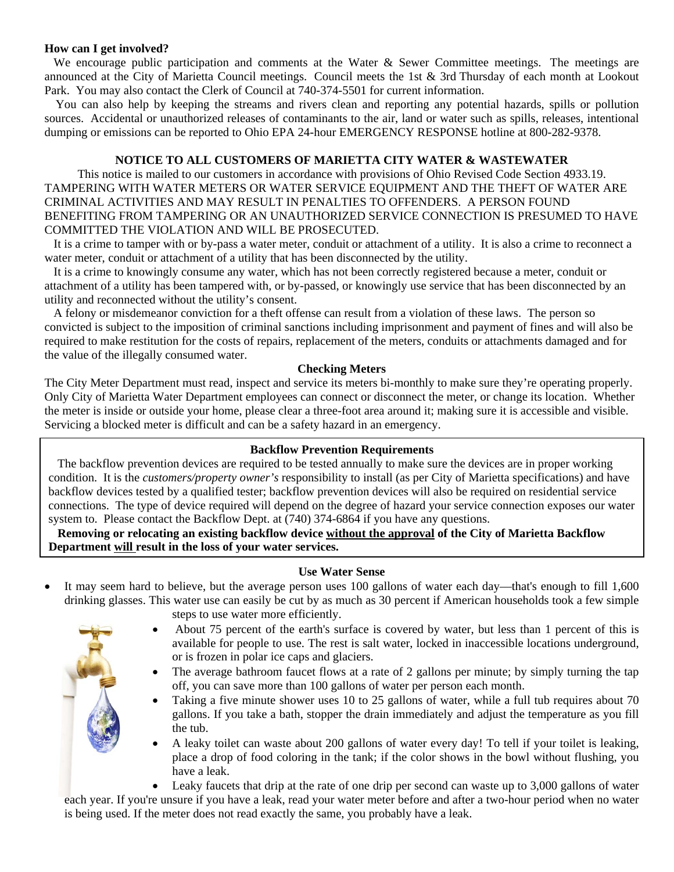## **How can I get involved?**

We encourage public participation and comments at the Water  $\&$  Sewer Committee meetings. The meetings are announced at the City of Marietta Council meetings. Council meets the 1st & 3rd Thursday of each month at Lookout Park. You may also contact the Clerk of Council at 740-374-5501 for current information.

 You can also help by keeping the streams and rivers clean and reporting any potential hazards, spills or pollution sources. Accidental or unauthorized releases of contaminants to the air, land or water such as spills, releases, intentional dumping or emissions can be reported to Ohio EPA 24-hour EMERGENCY RESPONSE hotline at 800-282-9378.

## **NOTICE TO ALL CUSTOMERS OF MARIETTA CITY WATER & WASTEWATER**

This notice is mailed to our customers in accordance with provisions of Ohio Revised Code Section 4933.19. TAMPERING WITH WATER METERS OR WATER SERVICE EQUIPMENT AND THE THEFT OF WATER ARE CRIMINAL ACTIVITIES AND MAY RESULT IN PENALTIES TO OFFENDERS. A PERSON FOUND BENEFITING FROM TAMPERING OR AN UNAUTHORIZED SERVICE CONNECTION IS PRESUMED TO HAVE COMMITTED THE VIOLATION AND WILL BE PROSECUTED.

 It is a crime to tamper with or by-pass a water meter, conduit or attachment of a utility. It is also a crime to reconnect a water meter, conduit or attachment of a utility that has been disconnected by the utility.

 It is a crime to knowingly consume any water, which has not been correctly registered because a meter, conduit or attachment of a utility has been tampered with, or by-passed, or knowingly use service that has been disconnected by an utility and reconnected without the utility's consent.

 A felony or misdemeanor conviction for a theft offense can result from a violation of these laws. The person so convicted is subject to the imposition of criminal sanctions including imprisonment and payment of fines and will also be required to make restitution for the costs of repairs, replacement of the meters, conduits or attachments damaged and for the value of the illegally consumed water.

## **Checking Meters**

The City Meter Department must read, inspect and service its meters bi-monthly to make sure they're operating properly. Only City of Marietta Water Department employees can connect or disconnect the meter, or change its location. Whether the meter is inside or outside your home, please clear a three-foot area around it; making sure it is accessible and visible. Servicing a blocked meter is difficult and can be a safety hazard in an emergency.

## **Backflow Prevention Requirements**

The backflow prevention devices are required to be tested annually to make sure the devices are in proper working condition. It is the *customers/property owner's* responsibility to install (as per City of Marietta specifications) and have backflow devices tested by a qualified tester; backflow prevention devices will also be required on residential service connections. The type of device required will depend on the degree of hazard your service connection exposes our water system to. Please contact the Backflow Dept. at (740) 374-6864 if you have any questions.

 **Removing or relocating an existing backflow device without the approval of the City of Marietta Backflow Department will result in the loss of your water services.**

## **Use Water Sense**

It may seem hard to believe, but the average person uses 100 gallons of water each day—that's enough to fill 1,600 drinking glasses. This water use can easily be cut by as much as 30 percent if American households took a few simple



- steps to use water more efficiently.
- About 75 percent of the earth's surface is covered by water, but less than 1 percent of this is available for people to use. The rest is salt water, locked in inaccessible locations underground, or is frozen in polar ice caps and glaciers.
- The average bathroom faucet flows at a rate of 2 gallons per minute; by simply turning the tap off, you can save more than 100 gallons of water per person each month.
- Taking a five minute shower uses 10 to 25 gallons of water, while a full tub requires about 70 gallons. If you take a bath, stopper the drain immediately and adjust the temperature as you fill the tub.
- A leaky toilet can waste about 200 gallons of water every day! To tell if your toilet is leaking, place a drop of food coloring in the tank; if the color shows in the bowl without flushing, you have a leak.

• Leaky faucets that drip at the rate of one drip per second can waste up to 3,000 gallons of water each year. If you're unsure if you have a leak, read your water meter before and after a two-hour period when no water

is being used. If the meter does not read exactly the same, you probably have a leak.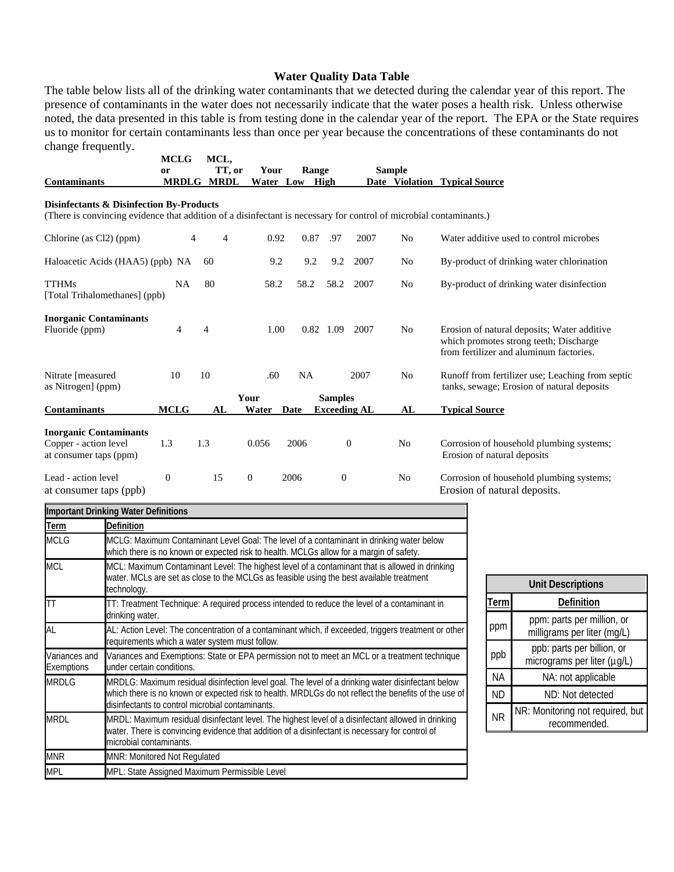#### **Water Quality Data Table**

The table below lists all of the drinking water contaminants that we detected during the calendar year of this report. The presence of contaminants in the water does not necessarily indicate that the water poses a health risk. Unless otherwise noted, the data presented in this table is from testing done in the calendar year of the report. The EPA or the State requires us to monitor for certain contaminants less than once per year because the concentrations of these contaminants do not change frequently.

|                                                                                                                                                                | <b>MCLG</b><br>or | MCL,<br>TT, or    | Your          | Range     |                                       |                  | <b>Sample</b>  |                                                                                                                                  |
|----------------------------------------------------------------------------------------------------------------------------------------------------------------|-------------------|-------------------|---------------|-----------|---------------------------------------|------------------|----------------|----------------------------------------------------------------------------------------------------------------------------------|
| <b>Contaminants</b>                                                                                                                                            |                   | <b>MRDLG MRDL</b> | Water Low     |           | High                                  |                  |                | Date Violation Typical Source                                                                                                    |
| Disinfectants & Disinfection By-Products<br>(There is convincing evidence that addition of a disinfectant is necessary for control of microbial contaminants.) |                   |                   |               |           |                                       |                  |                |                                                                                                                                  |
| Chlorine (as Cl2) (ppm)                                                                                                                                        | 4                 | 4                 | 0.92          | 0.87      | .97                                   | 2007             | N <sub>0</sub> | Water additive used to control microbes                                                                                          |
| Haloacetic Acids (HAA5) (ppb) NA                                                                                                                               |                   | 60                | 9.2           | 9.2       | 9.2                                   | 2007             | No             | By-product of drinking water chlorination                                                                                        |
| <b>TTHMs</b><br>[Total Trihalomethanes] (ppb)                                                                                                                  | <b>NA</b>         | 80                | 58.2          | 58.2      | 58.2                                  | 2007             | No             | By-product of drinking water disinfection                                                                                        |
| <b>Inorganic Contaminants</b><br>Fluoride (ppm)                                                                                                                | 4                 | 4                 | 1.00          |           | 0.82 1.09                             | 2007             | N <sub>0</sub> | Erosion of natural deposits; Water additive<br>which promotes strong teeth; Discharge<br>from fertilizer and aluminum factories. |
| Nitrate [measured<br>as Nitrogen] (ppm)                                                                                                                        | 10                | 10                | .60           | <b>NA</b> |                                       | 2007             | No             | Runoff from fertilizer use; Leaching from septic<br>tanks, sewage; Erosion of natural deposits                                   |
| <b>Contaminants</b>                                                                                                                                            | <b>MCLG</b>       | AL                | Your<br>Water | Date      | <b>Samples</b><br><b>Exceeding AL</b> |                  | AL             | <b>Typical Source</b>                                                                                                            |
| <b>Inorganic Contaminants</b><br>Copper - action level<br>at consumer taps (ppm)                                                                               | 1.3               | 1.3               | 0.056         | 2006      |                                       | $\boldsymbol{0}$ | N <sub>0</sub> | Corrosion of household plumbing systems;<br>Erosion of natural deposits                                                          |
| Lead - action level<br>at consumer taps (ppb)                                                                                                                  | $\overline{0}$    | 15                | $\mathbf{0}$  | 2006      | $\theta$                              |                  | N <sub>0</sub> | Corrosion of household plumbing systems;<br>Erosion of natural deposits.                                                         |
| <b>Important Drinking Water Definitions</b>                                                                                                                    |                   |                   |               |           |                                       |                  |                |                                                                                                                                  |
| <b>Definition</b><br>Term                                                                                                                                      |                   |                   |               |           |                                       |                  |                |                                                                                                                                  |

| Term                        | <b>Definition</b>                                                                                                                                                                                                                                             |
|-----------------------------|---------------------------------------------------------------------------------------------------------------------------------------------------------------------------------------------------------------------------------------------------------------|
| <b>MCLG</b>                 | MCLG: Maximum Contaminant Level Goal: The level of a contaminant in drinking water below<br>which there is no known or expected risk to health. MCLGs allow for a margin of safety.                                                                           |
| <b>MCL</b>                  | MCL: Maximum Contaminant Level: The highest level of a contaminant that is allowed in drinking<br>water. MCLs are set as close to the MCLGs as feasible using the best available treatment<br>technology.                                                     |
| <b>TT</b>                   | TT: Treatment Technique: A required process intended to reduce the level of a contaminant in<br>drinking water.                                                                                                                                               |
| AL                          | AL: Action Level: The concentration of a contaminant which, if exceeded, triggers treatment or other<br>requirements which a water system must follow.                                                                                                        |
| Variances and<br>Exemptions | Variances and Exemptions: State or EPA permission not to meet an MCL or a treatment technique<br>under certain conditions.                                                                                                                                    |
| <b>MRDLG</b>                | MRDLG: Maximum residual disinfection level goal. The level of a drinking water disinfectant below<br>which there is no known or expected risk to health. MRDLGs do not reflect the benefits of the use of<br>disinfectants to control microbial contaminants. |
| <b>MRDL</b>                 | MRDL: Maximum residual disinfectant level. The highest level of a disinfectant allowed in drinking<br>water. There is convincing evidence that addition of a disinfectant is necessary for control of<br>microbial contaminants.                              |
| <b>MNR</b>                  | <b>MNR: Monitored Not Regulated</b>                                                                                                                                                                                                                           |
| <b>MPL</b>                  | MPL: State Assigned Maximum Permissible Level                                                                                                                                                                                                                 |

| <b>Unit Descriptions</b> |                                                           |  |  |  |  |
|--------------------------|-----------------------------------------------------------|--|--|--|--|
| Term                     | Definition                                                |  |  |  |  |
| ppm                      | ppm: parts per million, or<br>milligrams per liter (mg/L) |  |  |  |  |
| ppb                      | ppb: parts per billion, or<br>micrograms per liter (µg/L) |  |  |  |  |
| <b>NA</b>                | NA: not applicable                                        |  |  |  |  |
| <b>ND</b>                | ND: Not detected                                          |  |  |  |  |
| <b>NR</b>                | NR: Monitoring not required, but<br>recommended.          |  |  |  |  |